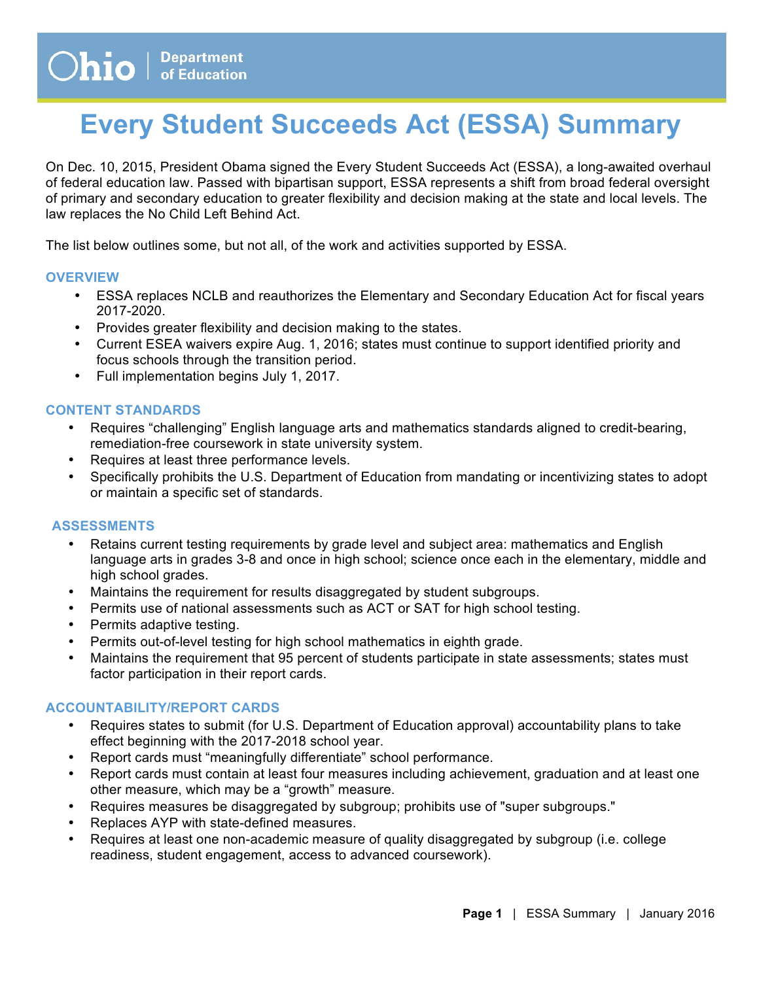# **Every Student Succeeds Act (ESSA) Summary**

 On Dec. 10, 2015, President Obama signed the Every Student Succeeds Act (ESSA), a long-awaited overhaul of federal education law. Passed with bipartisan support, ESSA represents a shift from broad federal oversight of primary and secondary education to greater flexibility and decision making at the state and local levels. The law replaces the No Child Left Behind Act.

The list below outlines some, but not all, of the work and activities supported by ESSA.

#### **OVERVIEW**

- • ESSA replaces NCLB and reauthorizes the Elementary and Secondary Education Act for fiscal years 2017-2020.
- Provides greater flexibility and decision making to the states.
- • Current ESEA waivers expire Aug. 1, 2016; states must continue to support identified priority and focus schools through the transition period.
- Full implementation begins July 1, 2017.

#### **CONTENT STANDARDS**

- • Requires "challenging" English language arts and mathematics standards aligned to credit-bearing, remediation-free coursework in state university system.
- Requires at least three performance levels.
- • Specifically prohibits the U.S. Department of Education from mandating or incentivizing states to adopt or maintain a specific set of standards.

## **ASSESSMENTS**

- • Retains current testing requirements by grade level and subject area: mathematics and English language arts in grades 3-8 and once in high school; science once each in the elementary, middle and high school grades.
- Maintains the requirement for results disaggregated by student subgroups.
- Permits use of national assessments such as ACT or SAT for high school testing.
- Permits adaptive testing.
- Permits out-of-level testing for high school mathematics in eighth grade.
- • Maintains the requirement that 95 percent of students participate in state assessments; states must factor participation in their report cards.

## **ACCOUNTABILITY/REPORT CARDS**

- • Requires states to submit (for U.S. Department of Education approval) accountability plans to take effect beginning with the 2017-2018 school year.
- Report cards must "meaningfully differentiate" school performance.
- • Report cards must contain at least four measures including achievement, graduation and at least one other measure, which may be a "growth" measure.
- Requires measures be disaggregated by subgroup; prohibits use of "super subgroups."
- Replaces AYP with state-defined measures.
- • Requires at least one non-academic measure of quality disaggregated by subgroup (i.e. college readiness, student engagement, access to advanced coursework).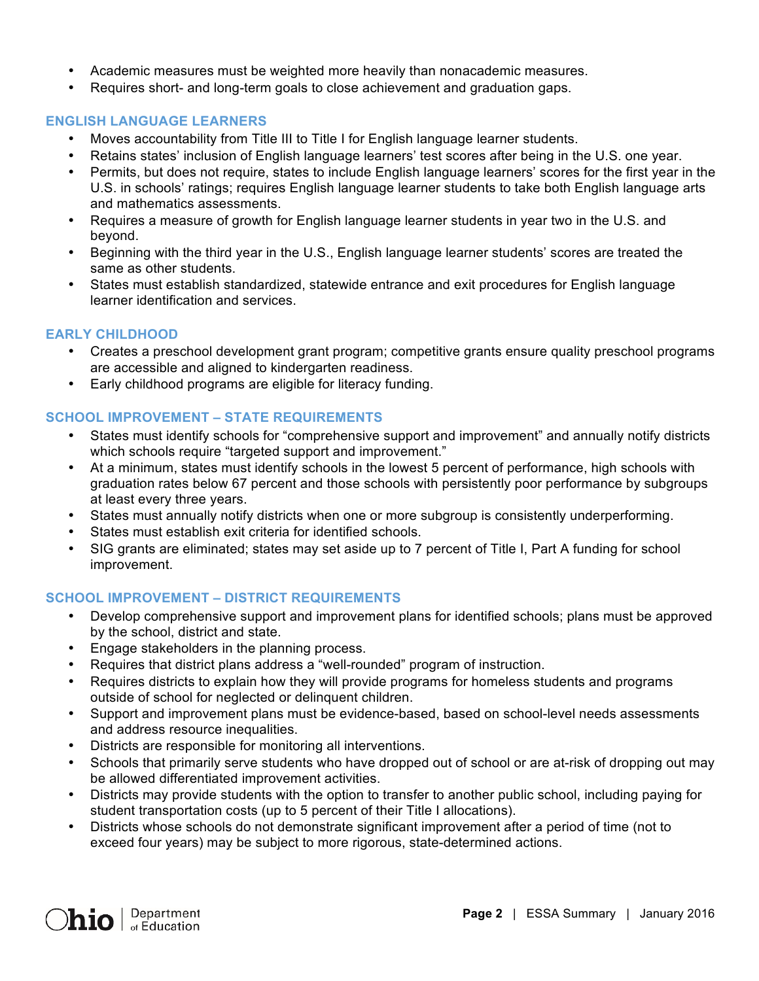- Academic measures must be weighted more heavily than nonacademic measures.
- Requires short- and long-term goals to close achievement and graduation gaps.

## **ENGLISH LANGUAGE LEARNERS**

- Moves accountability from Title III to Title I for English language learner students.
- Retains states' inclusion of English language learners' test scores after being in the U.S. one year.
- U.S. in schools' ratings; requires English language learner students to take both English language arts • Permits, but does not require, states to include English language learners' scores for the first year in the and mathematics assessments.
- • Requires a measure of growth for English language learner students in year two in the U.S. and beyond.
- • Beginning with the third year in the U.S., English language learner students' scores are treated the same as other students.
- • States must establish standardized, statewide entrance and exit procedures for English language learner identification and services.

# **EARLY CHILDHOOD**

- • Creates a preschool development grant program; competitive grants ensure quality preschool programs are accessible and aligned to kindergarten readiness.
- Early childhood programs are eligible for literacy funding.

# **SCHOOL IMPROVEMENT – STATE REQUIREMENTS**

- • States must identify schools for "comprehensive support and improvement" and annually notify districts which schools require "targeted support and improvement."
- • At a minimum, states must identify schools in the lowest 5 percent of performance, high schools with graduation rates below 67 percent and those schools with persistently poor performance by subgroups at least every three years.
- States must annually notify districts when one or more subgroup is consistently underperforming.
- States must establish exit criteria for identified schools.
- • SIG grants are eliminated; states may set aside up to 7 percent of Title I, Part A funding for school improvement.

# **SCHOOL IMPROVEMENT – DISTRICT REQUIREMENTS**

- • Develop comprehensive support and improvement plans for identified schools; plans must be approved by the school, district and state.
- Engage stakeholders in the planning process.
- Requires that district plans address a "well-rounded" program of instruction.
- • Requires districts to explain how they will provide programs for homeless students and programs outside of school for neglected or delinquent children.
- • Support and improvement plans must be evidence-based, based on school-level needs assessments and address resource inequalities.
- Districts are responsible for monitoring all interventions.
- • Schools that primarily serve students who have dropped out of school or are at-risk of dropping out may be allowed differentiated improvement activities.
- • Districts may provide students with the option to transfer to another public school, including paying for student transportation costs (up to 5 percent of their Title I allocations).
- • Districts whose schools do not demonstrate significant improvement after a period of time (not to exceed four years) may be subject to more rigorous, state-determined actions.